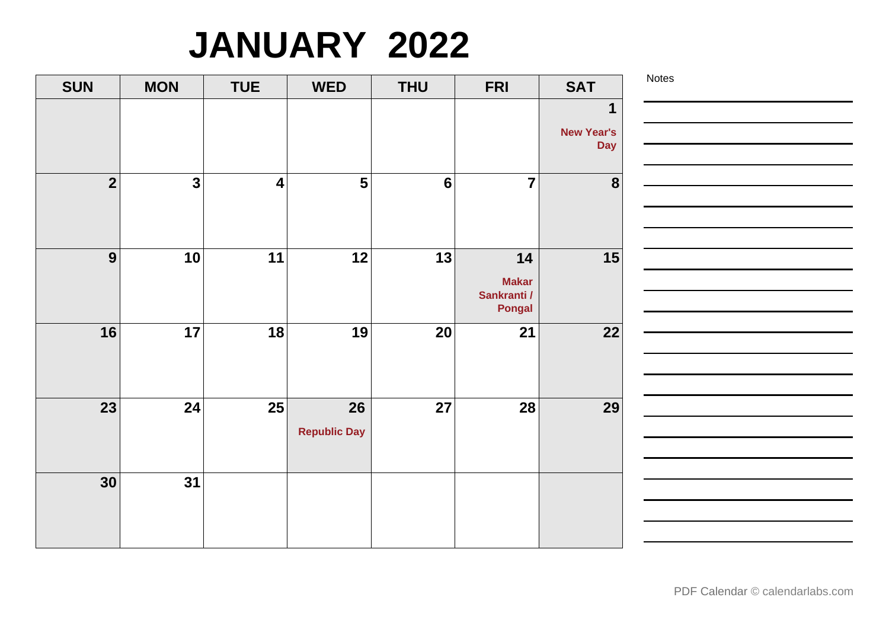# **JANUARY 2022**

| <b>SUN</b>              | <b>MON</b>              | <b>TUE</b>              | <b>WED</b>                | <b>THU</b>     | <b>FRI</b>                                         | <b>SAT</b>                           | Notes |
|-------------------------|-------------------------|-------------------------|---------------------------|----------------|----------------------------------------------------|--------------------------------------|-------|
|                         |                         |                         |                           |                |                                                    | 1<br><b>New Year's</b><br><b>Day</b> |       |
| $\overline{\mathbf{2}}$ | $\overline{\mathbf{3}}$ | $\overline{\mathbf{4}}$ | $\overline{\mathbf{5}}$   | $6\phantom{1}$ | $\overline{7}$                                     | $\boldsymbol{8}$                     |       |
| 9                       | 10                      | 11                      | 12                        | 13             | 14<br><b>Makar</b><br>Sankranti /<br><b>Pongal</b> | 15                                   |       |
| 16                      | 17                      | 18                      | 19                        | 20             | 21                                                 | 22                                   |       |
| 23                      | 24                      | 25                      | 26<br><b>Republic Day</b> | 27             | 28                                                 | 29                                   |       |
| 30                      | $\overline{31}$         |                         |                           |                |                                                    |                                      |       |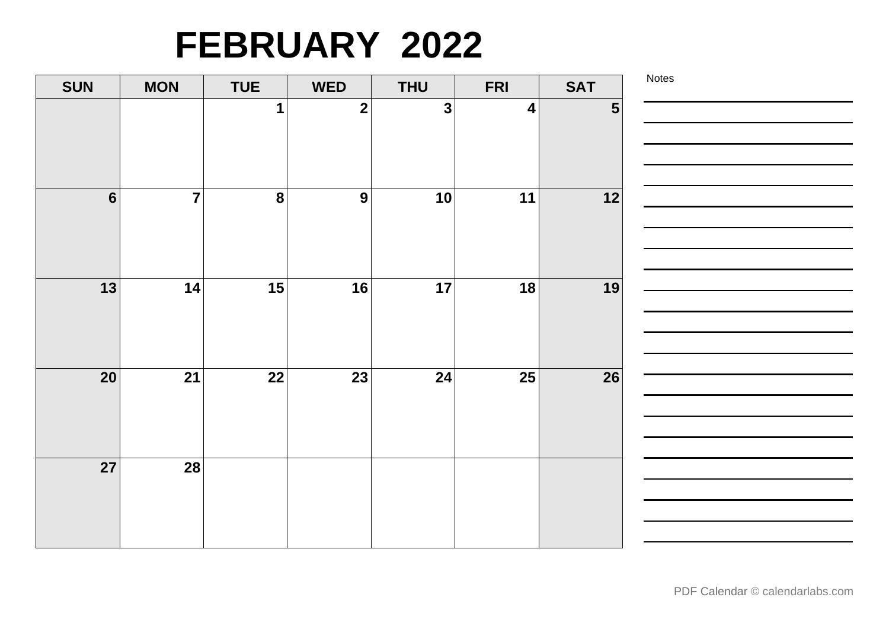# **FEBRUARY 2022**

| <b>SUN</b>       | <b>MON</b>              | <b>TUE</b>       | <b>WED</b>     | <b>THU</b> | <b>FRI</b>       | <b>SAT</b>     | Notes |
|------------------|-------------------------|------------------|----------------|------------|------------------|----------------|-------|
|                  |                         | 1                | $\mathbf{2}$   | 3          | $\boldsymbol{4}$ | $5\phantom{1}$ |       |
|                  |                         |                  |                |            |                  |                |       |
|                  |                         |                  |                |            |                  |                |       |
| $6 \overline{6}$ | $\overline{\mathbf{7}}$ | $\boldsymbol{8}$ | $\overline{9}$ | 10         | 11               | 12             |       |
|                  |                         |                  |                |            |                  |                |       |
|                  |                         |                  |                |            |                  |                |       |
|                  |                         |                  |                |            |                  |                |       |
| 13               | 14                      | 15               | 16             | 17         | 18               | 19             |       |
|                  |                         |                  |                |            |                  |                |       |
|                  |                         |                  |                |            |                  |                |       |
|                  |                         |                  |                |            |                  |                |       |
| 20               | 21                      | 22               | 23             | 24         | 25               | 26             |       |
|                  |                         |                  |                |            |                  |                |       |
|                  |                         |                  |                |            |                  |                |       |
| 27               | 28                      |                  |                |            |                  |                |       |
|                  |                         |                  |                |            |                  |                |       |
|                  |                         |                  |                |            |                  |                |       |
|                  |                         |                  |                |            |                  |                |       |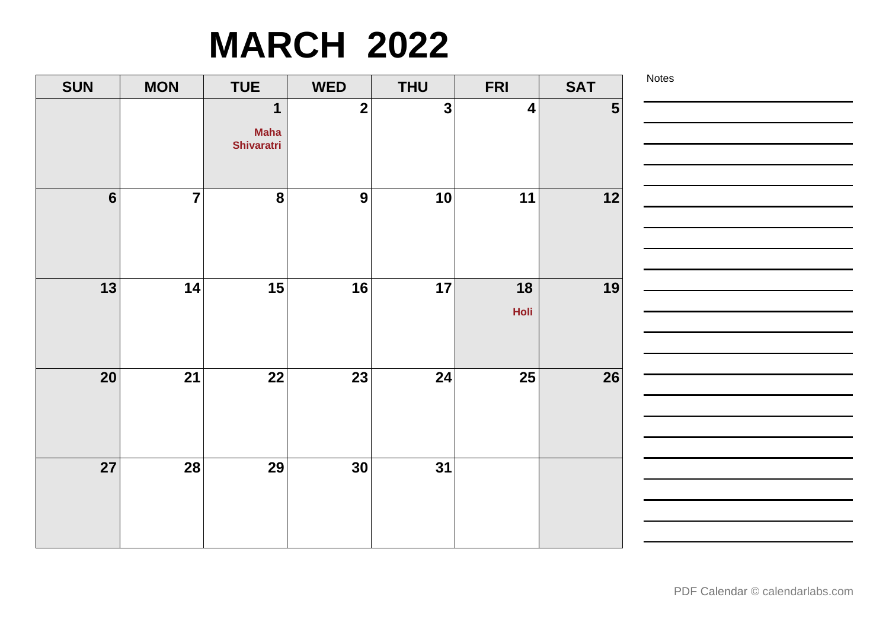## **MARCH 2022**

| <b>SUN</b>     | <b>MON</b>     | <b>TUE</b>                                      | <b>WED</b>      | <b>THU</b>   | <b>FRI</b>       | <b>SAT</b>     | Notes |
|----------------|----------------|-------------------------------------------------|-----------------|--------------|------------------|----------------|-------|
|                |                | $\mathbf 1$<br><b>Maha</b><br><b>Shivaratri</b> | $\mathbf{2}$    | $\mathbf{3}$ | $\boldsymbol{4}$ | $5\phantom{1}$ |       |
| $6\phantom{1}$ | $\overline{7}$ | $\boldsymbol{8}$                                | 9               | 10           | 11               | $12$           |       |
| 13             | 14             | 15                                              | 16              | 17           | 18<br>Holi       | 19             |       |
| 20             | 21             | 22                                              | 23              | 24           | 25               | 26             |       |
| 27             | 28             | 29                                              | 30 <sup>°</sup> | 31           |                  |                |       |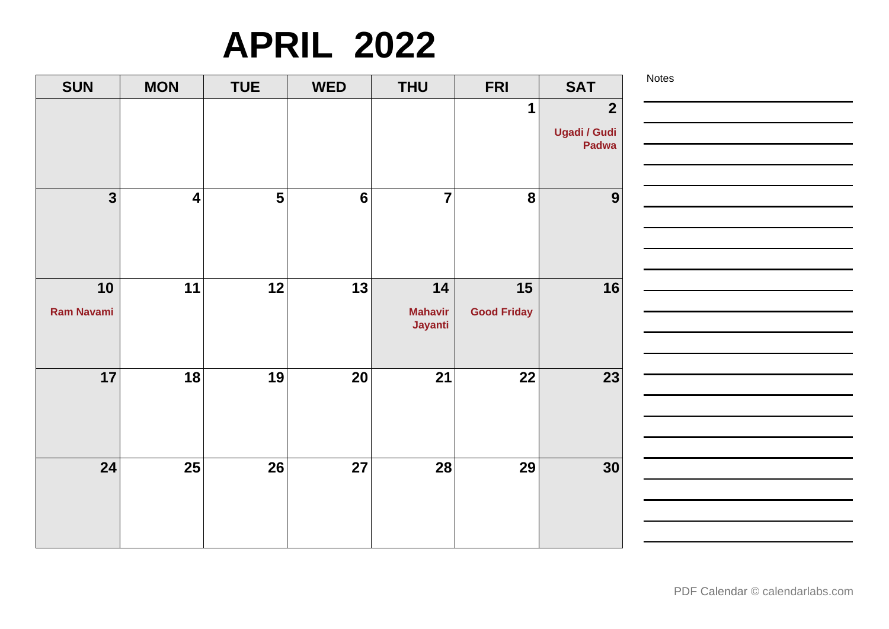# **APRIL 2022**

| 1<br>$\overline{2}$<br><b>Ugadi / Gudi</b><br>Padwa<br>$\overline{7}$<br>$\overline{\mathbf{3}}$<br>5<br>8<br>$6\phantom{1}6$<br>9<br>$\overline{\mathbf{4}}$<br>11<br>12<br>13<br>10<br>14<br>15<br>16<br><b>Ram Navami</b><br><b>Good Friday</b><br><b>Mahavir</b><br>Jayanti<br>17<br>21<br>18<br>19<br>20<br>22<br>23<br>24<br>25<br>26<br>27<br>28<br>29<br>30 | <b>SAT</b> | <b>FRI</b> | <b>THU</b> | <b>WED</b> | <b>TUE</b> | <b>MON</b> | <b>SUN</b> |
|---------------------------------------------------------------------------------------------------------------------------------------------------------------------------------------------------------------------------------------------------------------------------------------------------------------------------------------------------------------------|------------|------------|------------|------------|------------|------------|------------|
|                                                                                                                                                                                                                                                                                                                                                                     |            |            |            |            |            |            |            |
|                                                                                                                                                                                                                                                                                                                                                                     |            |            |            |            |            |            |            |
|                                                                                                                                                                                                                                                                                                                                                                     |            |            |            |            |            |            |            |
|                                                                                                                                                                                                                                                                                                                                                                     |            |            |            |            |            |            |            |
|                                                                                                                                                                                                                                                                                                                                                                     |            |            |            |            |            |            |            |
|                                                                                                                                                                                                                                                                                                                                                                     |            |            |            |            |            |            |            |
|                                                                                                                                                                                                                                                                                                                                                                     |            |            |            |            |            |            |            |
|                                                                                                                                                                                                                                                                                                                                                                     |            |            |            |            |            |            |            |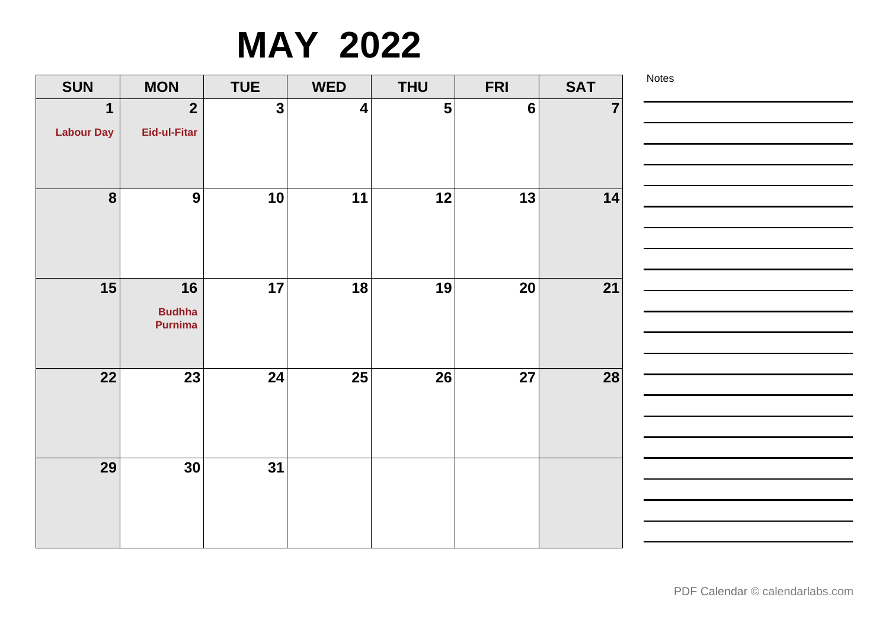### **MAY 2022**

| <b>SUN</b>        | <b>MON</b>     | <b>TUE</b>   | <b>WED</b> | <b>THU</b>     | <b>FRI</b>      | <b>SAT</b>              | Notes |
|-------------------|----------------|--------------|------------|----------------|-----------------|-------------------------|-------|
| $\mathbf{1}$      | $\overline{2}$ | $\mathbf{3}$ | 4          | 5 <sup>1</sup> | $6\phantom{1}6$ | $\overline{\mathbf{7}}$ |       |
| <b>Labour Day</b> | Eid-ul-Fitar   |              |            |                |                 |                         |       |
|                   |                |              |            |                |                 |                         |       |
|                   |                |              |            |                |                 |                         |       |
| $\boldsymbol{8}$  | 9              | 10           | 11         | 12             | 13              | 14                      |       |
|                   |                |              |            |                |                 |                         |       |
|                   |                |              |            |                |                 |                         |       |
| 15                | 16             | 17           | 18         | 19             | 20              | 21                      |       |
|                   | <b>Budhha</b>  |              |            |                |                 |                         |       |
|                   | <b>Purnima</b> |              |            |                |                 |                         |       |
|                   |                |              |            |                |                 |                         |       |
| 22                | 23             | 24           | 25         | 26             | 27              | 28                      |       |
|                   |                |              |            |                |                 |                         |       |
|                   |                |              |            |                |                 |                         |       |
|                   |                |              |            |                |                 |                         |       |
| 29                | 30             | 31           |            |                |                 |                         |       |
|                   |                |              |            |                |                 |                         |       |
|                   |                |              |            |                |                 |                         |       |
|                   |                |              |            |                |                 |                         |       |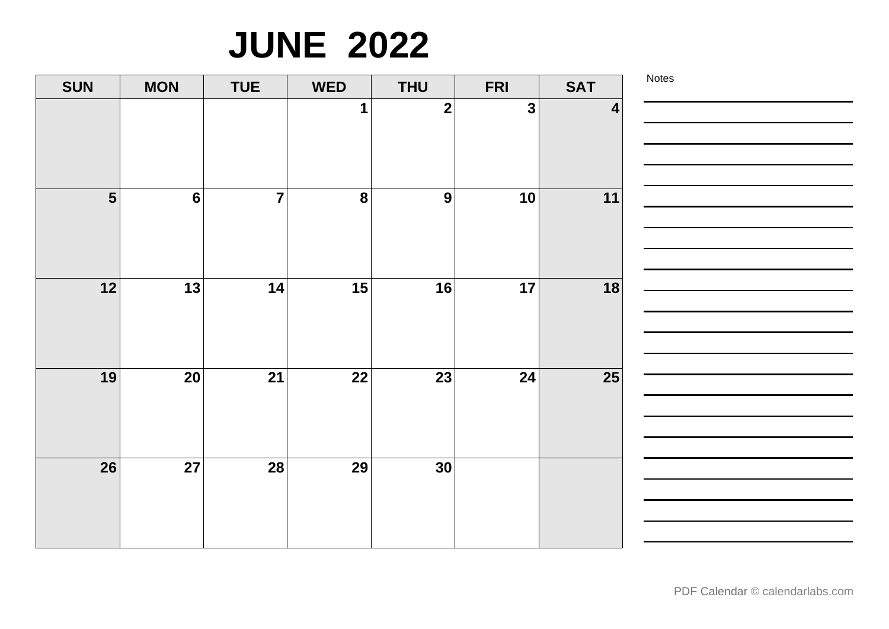## **JUNE 2022**

| <b>SUN</b>              | <b>MON</b>      | <b>TUE</b>     | <b>WED</b>   | <b>THU</b>              | <b>FRI</b>   | <b>SAT</b>       | Notes |
|-------------------------|-----------------|----------------|--------------|-------------------------|--------------|------------------|-------|
|                         |                 |                | $\mathbf{1}$ | $\overline{\mathbf{2}}$ | $\mathbf{3}$ | $\boldsymbol{4}$ |       |
| $\overline{\mathbf{5}}$ | $6\phantom{1}$  | $\overline{7}$ | 8            | 9                       | 10           | 11               |       |
| 12                      | 13              | 14             | 15           | 16                      | 17           | 18               |       |
| 19                      | 20              | 21             | 22           | 23                      | 24           | 25               |       |
| $\overline{26}$         | $\overline{27}$ | 28             | 29           | 30                      |              |                  |       |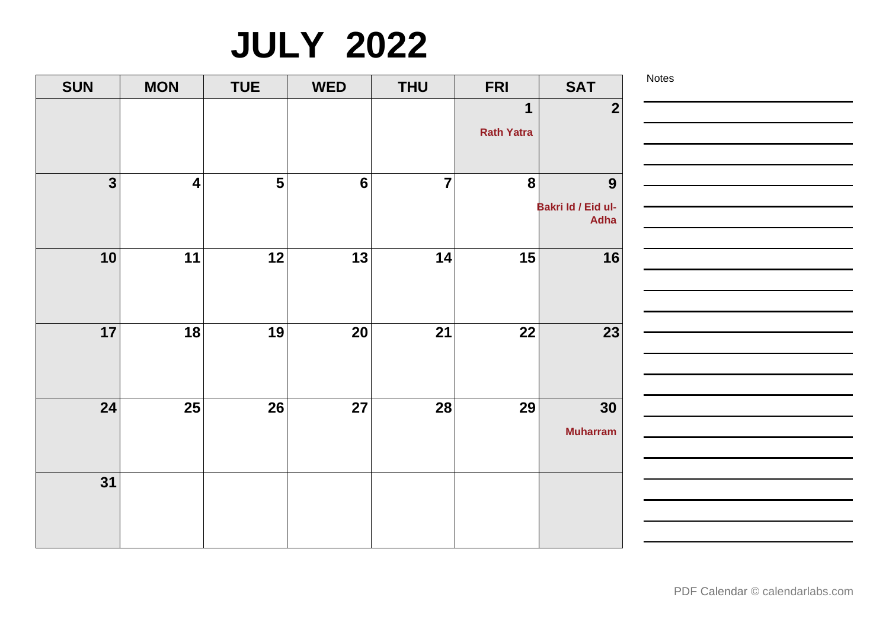# **JULY 2022**

| <b>SUN</b>              | <b>MON</b>              | <b>TUE</b> | <b>WED</b>      | <b>THU</b>      | <b>FRI</b>             | <b>SAT</b>                 |
|-------------------------|-------------------------|------------|-----------------|-----------------|------------------------|----------------------------|
|                         |                         |            |                 |                 | 1<br><b>Rath Yatra</b> | $\overline{2}$             |
|                         |                         |            |                 |                 |                        |                            |
| $\overline{\mathbf{3}}$ | $\overline{\mathbf{4}}$ | 5          | $6\phantom{1}6$ | $\overline{7}$  | 8                      | 9                          |
|                         |                         |            |                 |                 |                        | Bakri Id / Eid ul-<br>Adha |
| 10                      | 11                      | 12         | 13              | 14              | 15                     | 16                         |
| 17                      | 18                      | 19         | 20              | 21              | 22                     | 23                         |
| 24                      | $\overline{25}$         | 26         | 27              | $\overline{28}$ | 29                     | 30<br><b>Muharram</b>      |
| 31                      |                         |            |                 |                 |                        |                            |

[PDF Calendar](https://www.calendarlabs.com/pdf-calendar) © calendarlabs.com

Notes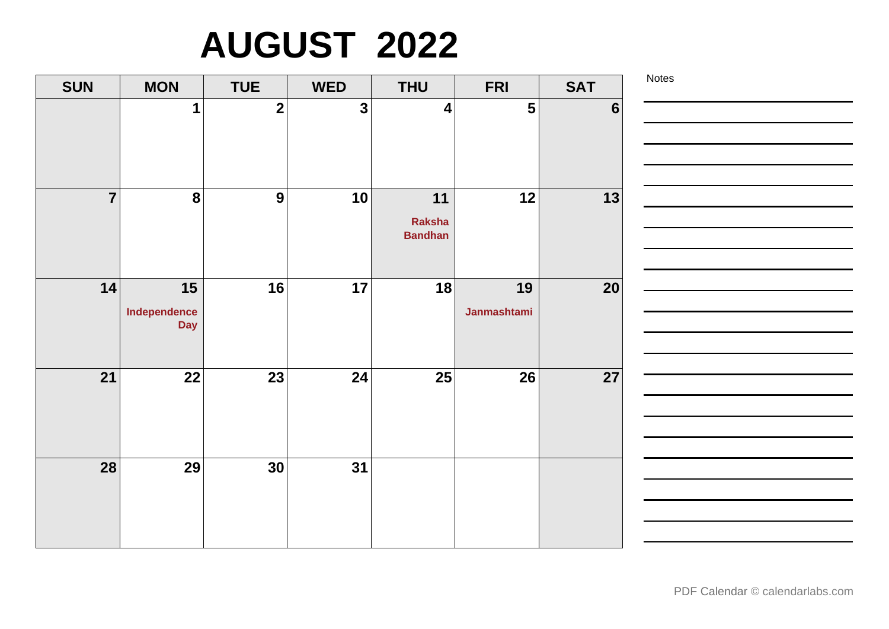# **AUGUST 2022**

| <b>SUN</b>     | <b>MON</b>                       | <b>TUE</b>              | <b>WED</b>              | <b>THU</b>                     | <b>FRI</b>        | <b>SAT</b>     | Notes |
|----------------|----------------------------------|-------------------------|-------------------------|--------------------------------|-------------------|----------------|-------|
|                | 1                                | $\overline{\mathbf{2}}$ | $\overline{\mathbf{3}}$ | $\overline{\mathbf{4}}$        | 5                 | $6\phantom{1}$ |       |
| $\overline{7}$ | $\boldsymbol{8}$                 | 9                       | 10                      | 11<br>Raksha<br><b>Bandhan</b> | 12                | 13             |       |
| 14             | 15<br>Independence<br><b>Day</b> | 16                      | 17                      | 18                             | 19<br>Janmashtami | 20             |       |
| 21             | 22                               | 23                      | 24                      | 25                             | 26                | 27             |       |
| 28             | 29                               | 30                      | 31                      |                                |                   |                |       |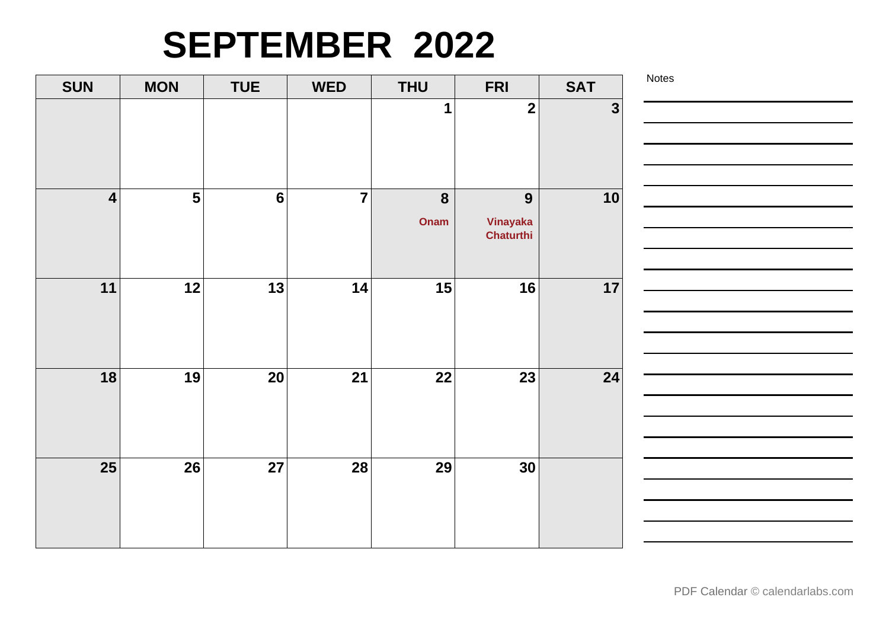### **SEPTEMBER 2022**

| <b>SUN</b>      | <b>MON</b>     | <b>TUE</b>      | <b>WED</b>     | <b>THU</b>               | <b>FRI</b>                 | <b>SAT</b>   | Notes |
|-----------------|----------------|-----------------|----------------|--------------------------|----------------------------|--------------|-------|
|                 |                |                 |                | 1                        | $\overline{\mathbf{2}}$    | $\mathbf{3}$ |       |
| $\vert 4 \vert$ | $5\phantom{1}$ | $6\phantom{1}6$ | $\overline{7}$ | $\boldsymbol{8}$<br>Onam | 9<br>Vinayaka<br>Chaturthi | 10           |       |
| 11              | 12             | 13              | 14             | 15                       | 16                         | 17           |       |
| 18              | 19             | 20              | 21             | 22                       | 23                         | 24           |       |
| 25              | 26             | 27              | 28             | 29                       | 30                         |              |       |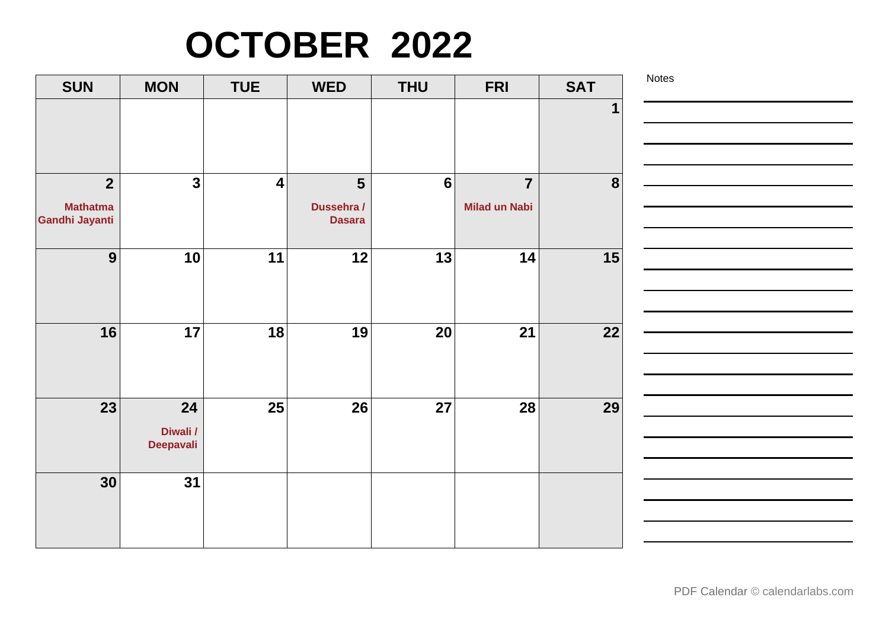# **OCTOBER 2022**

| <b>SUN</b>                                          | <b>MON</b>                         | <b>TUE</b>              | <b>WED</b>                                    | <b>THU</b>      | <b>FRI</b>                             | <b>SAT</b>       | Notes |
|-----------------------------------------------------|------------------------------------|-------------------------|-----------------------------------------------|-----------------|----------------------------------------|------------------|-------|
|                                                     |                                    |                         |                                               |                 |                                        |                  |       |
| $\overline{2}$<br><b>Mathatma</b><br>Gandhi Jayanti | $\overline{\mathbf{3}}$            | $\overline{\mathbf{4}}$ | $5\phantom{1}$<br>Dussehra /<br><b>Dasara</b> | $6\phantom{1}6$ | $\overline{7}$<br><b>Milad un Nabi</b> | $\boldsymbol{8}$ |       |
| 9                                                   | 10                                 | 11                      | 12                                            | 13              | 14                                     | 15               |       |
| 16                                                  | 17                                 | 18                      | 19                                            | 20              | 21                                     | 22               |       |
| 23                                                  | 24<br>Diwali /<br><b>Deepavali</b> | 25                      | 26                                            | 27              | 28                                     | 29               |       |
| 30                                                  | 31                                 |                         |                                               |                 |                                        |                  |       |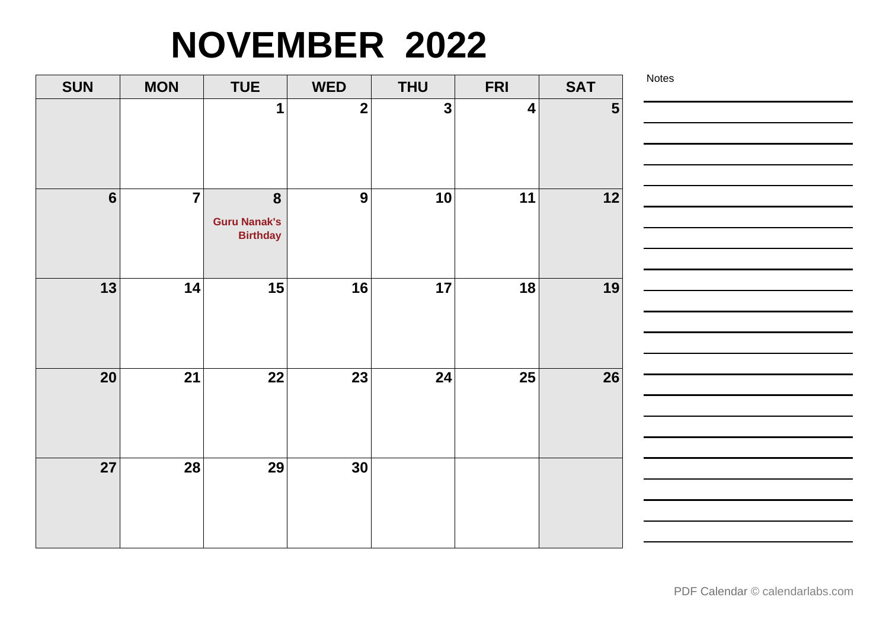# **NOVEMBER 2022**

| <b>SUN</b>     | <b>MON</b>     | <b>TUE</b>          | <b>WED</b>   | <b>THU</b>   | <b>FRI</b>       | <b>SAT</b>     | Notes |
|----------------|----------------|---------------------|--------------|--------------|------------------|----------------|-------|
|                |                | 1                   | $\mathbf{2}$ | $\mathbf{3}$ | $\boldsymbol{4}$ | $5\phantom{1}$ |       |
|                |                |                     |              |              |                  |                |       |
|                |                |                     |              |              |                  |                |       |
| $6\phantom{1}$ | $\overline{7}$ | $\boldsymbol{8}$    | 9            | 10           | 11               | 12             |       |
|                |                | <b>Guru Nanak's</b> |              |              |                  |                |       |
|                |                | <b>Birthday</b>     |              |              |                  |                |       |
|                |                |                     |              |              |                  |                |       |
| 13             | 14             | 15                  | 16           | 17           | 18               | 19             |       |
|                |                |                     |              |              |                  |                |       |
|                |                |                     |              |              |                  |                |       |
| 20             | 21             | 22                  | 23           | 24           | 25               | 26             |       |
|                |                |                     |              |              |                  |                |       |
|                |                |                     |              |              |                  |                |       |
|                |                |                     |              |              |                  |                |       |
| 27             | 28             | 29                  | 30           |              |                  |                |       |
|                |                |                     |              |              |                  |                |       |
|                |                |                     |              |              |                  |                |       |
|                |                |                     |              |              |                  |                |       |